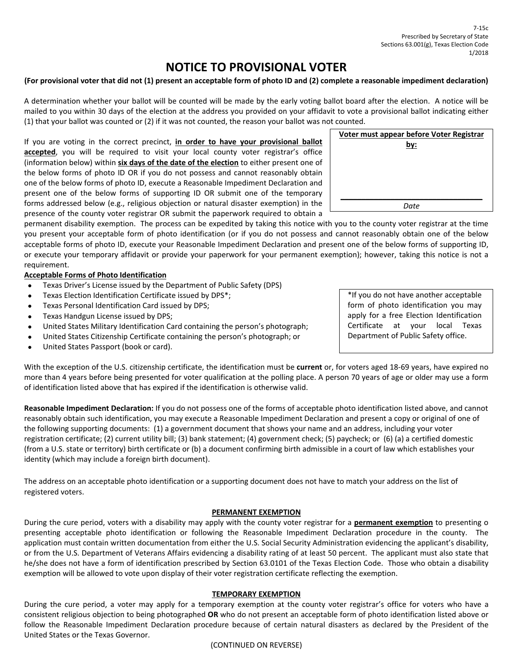# **NOTICE TO PROVISIONAL VOTER**

## (For provisional voter that did not (1) present an acceptable form of photo ID and (2) complete a reasonable impediment declaration)

 A determination whether your ballot will be counted will be made by the early voting ballot board after the election. A notice will be mailed to you within 30 days of the election at the address you provided on your affidavit to vote a provisional ballot indicating either (1) that your ballot was counted or (2) if it was not counted, the reason your ballot was not counted.

  If you are voting in the correct precinct, **in order to have your provisional ballot accepted**, you will be required to visit your local county voter registrar's office  (information below) within **six days of the date of the election** to either present one of the below forms of photo ID OR if you do not possess and cannot reasonably obtain one of the below forms of photo ID, execute a Reasonable Impediment Declaration and present one of the below forms of supporting ID OR submit one of the temporary forms addressed below (e.g., religious objection or natural disaster exemption) in the presence of the county voter registrar OR submit the paperwork required to obtain a

 permanent disability exemption. The process can be expedited by taking this notice with you to the county voter registrar at the time you present your acceptable form of photo identification (or if you do not possess and cannot reasonably obtain one of the below acceptable forms of photo ID, execute your Reasonable Impediment Declaration and present one of the below forms of supporting ID, or execute your temporary affidavit or provide your paperwork for your permanent exemption); however, taking this notice is not a requirement.

## **Acceptable Forms of Photo Identification**

- Texas Driver's License issued by the Department of Public Safety (DPS)
- Texas Election Identification Certificate issued by DPS\*;
- Texas Personal Identification Card issued by DPS;
- Texas Handgun License issued by DPS;
- United States Military Identification Card containing the person's photograph;
- United States Citizenship Certificate containing the person's photograph; or
- United States Passport (book or card).

 With the exception of the U.S. citizenship certificate, the identification must be **current** or, for voters aged 18‐69 years, have expired no more than 4 years before being presented for voter qualification at the polling place. A person 70 years of age or older may use a form of identification listed above that has expired if the identification is otherwise valid.

 **Reasonable Impediment Declaration:** If you do not possess one of the forms of acceptable photo identification listed above, and cannot reasonably obtain such identification, you may execute a Reasonable Impediment Declaration and present a copy or original of one of the following supporting documents: (1) a government document that shows your name and an address, including your voter registration certificate; (2) current utility bill; (3) bank statement; (4) government check; (5) paycheck; or (6) (a) a certified domestic (from a U.S. state or territory) birth certificate or (b) a document confirming birth admissible in a court of law which establishes your identity (which may include a foreign birth document).

 The address on an acceptable photo identification or a supporting document does not have to match your address on the list of registered voters.

### **PERMANENT EXEMPTION**

 During the cure period, voters with a disability may apply with the county voter registrar for a **permanent exemption** to presenting o presenting acceptable photo identification or following the Reasonable Impediment Declaration procedure in the county. The application must contain written documentation from either the U.S. Social Security Administration evidencing the applicant's disability, or from the U.S. Department of Veterans Affairs evidencing a disability rating of at least 50 percent. The applicant must also state that he/she does not have a form of identification prescribed by Section 63.0101 of the Texas Election Code. Those who obtain a disability exemption will be allowed to vote upon display of their voter registration certificate reflecting the exemption.

### **TEMPORARY EXEMPTION**

 During the cure period, a voter may apply for a temporary exemption at the county voter registrar's office for voters who have a consistent religious objection to being photographed **OR** who do not present an acceptable form of photo identification listed above or follow the Reasonable Impediment Declaration procedure because of certain natural disasters as declared by the President of the United States or the Texas Governor.

 \*If you do not have another acceptable form of photo identification you may apply for a free Election Identification Certificate at your local Texas Department of Public Safety office.



(CONTINUED ON REVERSE)